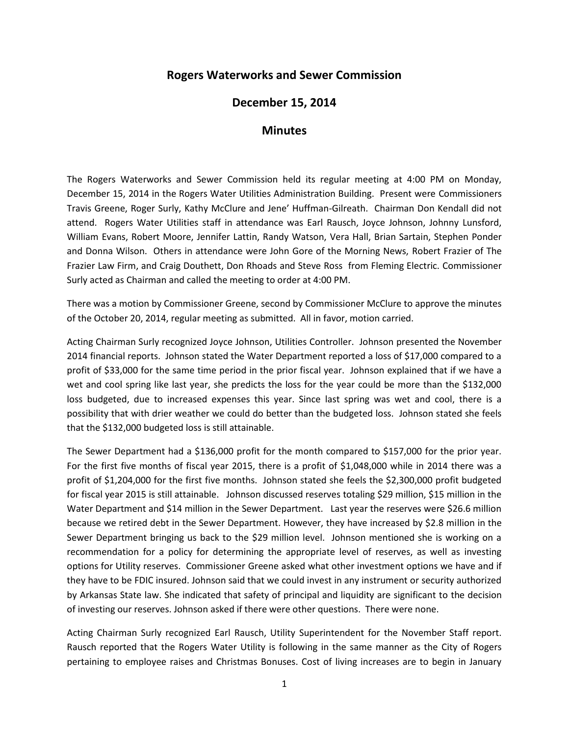## **Rogers Waterworks and Sewer Commission**

## **December 15, 2014**

## **Minutes**

The Rogers Waterworks and Sewer Commission held its regular meeting at 4:00 PM on Monday, December 15, 2014 in the Rogers Water Utilities Administration Building. Present were Commissioners Travis Greene, Roger Surly, Kathy McClure and Jene' Huffman-Gilreath. Chairman Don Kendall did not attend. Rogers Water Utilities staff in attendance was Earl Rausch, Joyce Johnson, Johnny Lunsford, William Evans, Robert Moore, Jennifer Lattin, Randy Watson, Vera Hall, Brian Sartain, Stephen Ponder and Donna Wilson. Others in attendance were John Gore of the Morning News, Robert Frazier of The Frazier Law Firm, and Craig Douthett, Don Rhoads and Steve Ross from Fleming Electric. Commissioner Surly acted as Chairman and called the meeting to order at 4:00 PM.

There was a motion by Commissioner Greene, second by Commissioner McClure to approve the minutes of the October 20, 2014, regular meeting as submitted. All in favor, motion carried.

Acting Chairman Surly recognized Joyce Johnson, Utilities Controller. Johnson presented the November 2014 financial reports. Johnson stated the Water Department reported a loss of \$17,000 compared to a profit of \$33,000 for the same time period in the prior fiscal year. Johnson explained that if we have a wet and cool spring like last year, she predicts the loss for the year could be more than the \$132,000 loss budgeted, due to increased expenses this year. Since last spring was wet and cool, there is a possibility that with drier weather we could do better than the budgeted loss. Johnson stated she feels that the \$132,000 budgeted loss is still attainable.

The Sewer Department had a \$136,000 profit for the month compared to \$157,000 for the prior year. For the first five months of fiscal year 2015, there is a profit of \$1,048,000 while in 2014 there was a profit of \$1,204,000 for the first five months. Johnson stated she feels the \$2,300,000 profit budgeted for fiscal year 2015 is still attainable. Johnson discussed reserves totaling \$29 million, \$15 million in the Water Department and \$14 million in the Sewer Department. Last year the reserves were \$26.6 million because we retired debt in the Sewer Department. However, they have increased by \$2.8 million in the Sewer Department bringing us back to the \$29 million level. Johnson mentioned she is working on a recommendation for a policy for determining the appropriate level of reserves, as well as investing options for Utility reserves. Commissioner Greene asked what other investment options we have and if they have to be FDIC insured. Johnson said that we could invest in any instrument or security authorized by Arkansas State law. She indicated that safety of principal and liquidity are significant to the decision of investing our reserves. Johnson asked if there were other questions. There were none.

Acting Chairman Surly recognized Earl Rausch, Utility Superintendent for the November Staff report. Rausch reported that the Rogers Water Utility is following in the same manner as the City of Rogers pertaining to employee raises and Christmas Bonuses. Cost of living increases are to begin in January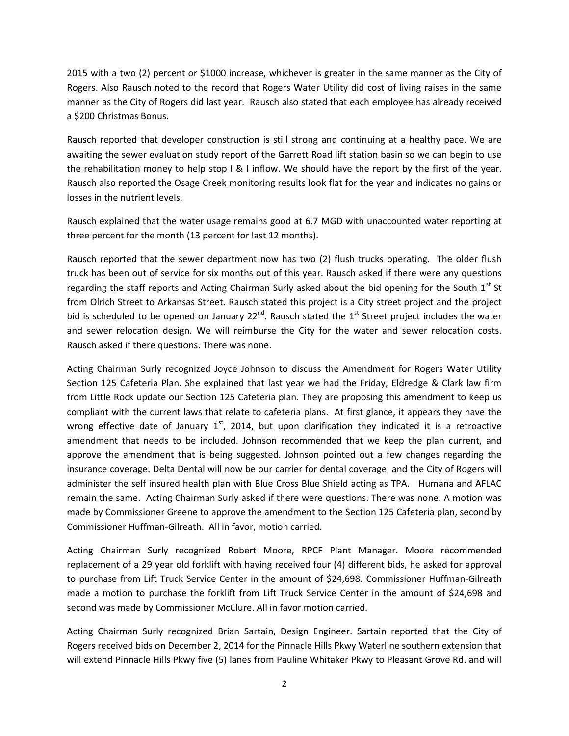2015 with a two (2) percent or \$1000 increase, whichever is greater in the same manner as the City of Rogers. Also Rausch noted to the record that Rogers Water Utility did cost of living raises in the same manner as the City of Rogers did last year. Rausch also stated that each employee has already received a \$200 Christmas Bonus.

Rausch reported that developer construction is still strong and continuing at a healthy pace. We are awaiting the sewer evaluation study report of the Garrett Road lift station basin so we can begin to use the rehabilitation money to help stop I & I inflow. We should have the report by the first of the year. Rausch also reported the Osage Creek monitoring results look flat for the year and indicates no gains or losses in the nutrient levels.

Rausch explained that the water usage remains good at 6.7 MGD with unaccounted water reporting at three percent for the month (13 percent for last 12 months).

Rausch reported that the sewer department now has two (2) flush trucks operating. The older flush truck has been out of service for six months out of this year. Rausch asked if there were any questions regarding the staff reports and Acting Chairman Surly asked about the bid opening for the South  $1<sup>st</sup>$  St from Olrich Street to Arkansas Street. Rausch stated this project is a City street project and the project bid is scheduled to be opened on January  $22^{nd}$ . Rausch stated the  $1^{st}$  Street project includes the water and sewer relocation design. We will reimburse the City for the water and sewer relocation costs. Rausch asked if there questions. There was none.

Acting Chairman Surly recognized Joyce Johnson to discuss the Amendment for Rogers Water Utility Section 125 Cafeteria Plan. She explained that last year we had the Friday, Eldredge & Clark law firm from Little Rock update our Section 125 Cafeteria plan. They are proposing this amendment to keep us compliant with the current laws that relate to cafeteria plans. At first glance, it appears they have the wrong effective date of January  $1<sup>st</sup>$ , 2014, but upon clarification they indicated it is a retroactive amendment that needs to be included. Johnson recommended that we keep the plan current, and approve the amendment that is being suggested. Johnson pointed out a few changes regarding the insurance coverage. Delta Dental will now be our carrier for dental coverage, and the City of Rogers will administer the self insured health plan with Blue Cross Blue Shield acting as TPA. Humana and AFLAC remain the same. Acting Chairman Surly asked if there were questions. There was none. A motion was made by Commissioner Greene to approve the amendment to the Section 125 Cafeteria plan, second by Commissioner Huffman-Gilreath. All in favor, motion carried.

Acting Chairman Surly recognized Robert Moore, RPCF Plant Manager. Moore recommended replacement of a 29 year old forklift with having received four (4) different bids, he asked for approval to purchase from Lift Truck Service Center in the amount of \$24,698. Commissioner Huffman-Gilreath made a motion to purchase the forklift from Lift Truck Service Center in the amount of \$24,698 and second was made by Commissioner McClure. All in favor motion carried.

Acting Chairman Surly recognized Brian Sartain, Design Engineer. Sartain reported that the City of Rogers received bids on December 2, 2014 for the Pinnacle Hills Pkwy Waterline southern extension that will extend Pinnacle Hills Pkwy five (5) lanes from Pauline Whitaker Pkwy to Pleasant Grove Rd. and will